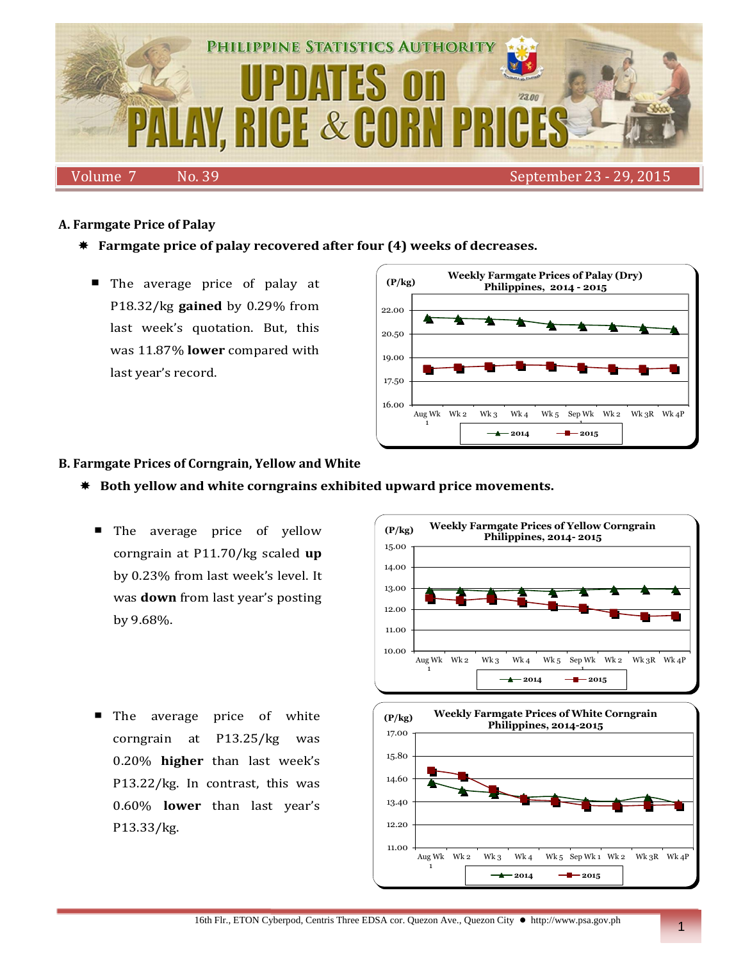

## **A. Farmgate Price of Palay**

- **Farmgate price of palay recovered after four (4) weeks of decreases.**
	- The average price of palay at P18.32/kg **gained** by 0.29% from last week's quotation. But, this was 11.87% **lower** compared with last year's record.



### **B. Farmgate Prices of Corngrain, Yellow and White**

- **Both yellow and white corngrains exhibited upward price movements.**
	- **The average price of yellow** corngrain at P11.70/kg scaled **up** by 0.23% from last week's level. It was **down** from last year's posting by 9.68%.
	- The average price of white corngrain at P13.25/kg was 0.20% **higher** than last week's P13.22/kg. In contrast, this was 0.60% **lower** than last year's P13.33/kg.



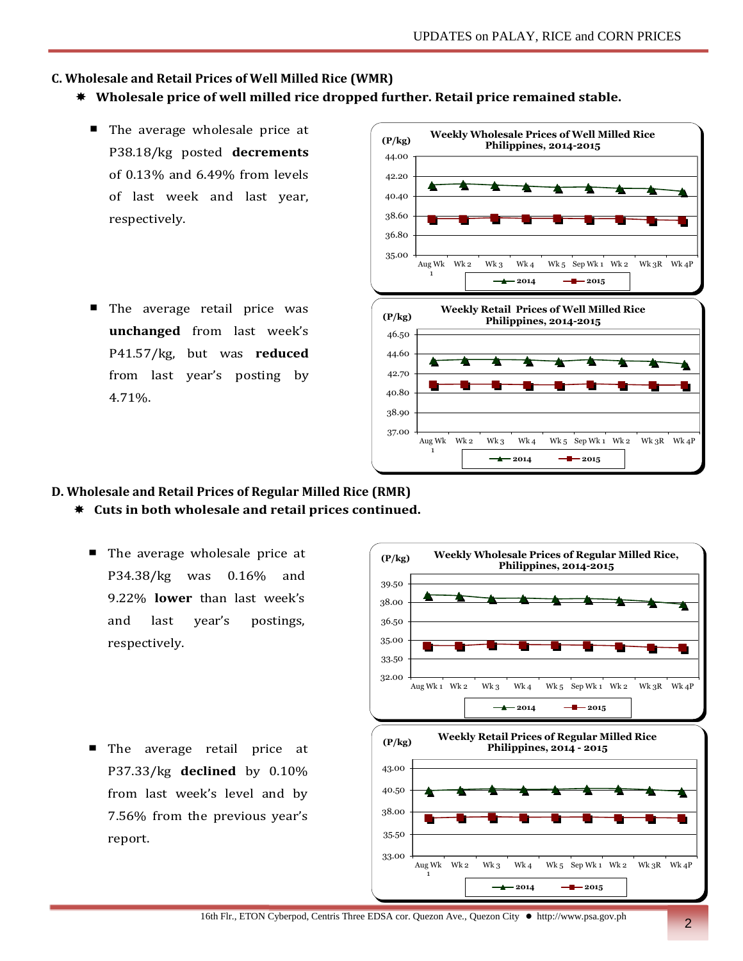## **C. Wholesale and Retail Prices of Well Milled Rice (WMR)**

- **Wholesale price of well milled rice dropped further. Retail price remained stable.**
	- The average wholesale price at P38.18/kg posted **decrements** of 0.13% and 6.49% from levels of last week and last year, respectively.
	- **The average retail price was unchanged** from last week's P41.57/kg, but was **reduced** from last year's posting by 4.71%.



# **D. Wholesale and Retail Prices of Regular Milled Rice (RMR)**

- **Cuts in both wholesale and retail prices continued.**
	- The average wholesale price at P34.38/kg was 0.16% and 9.22% **lower** than last week's and last year's postings, respectively.
	- **The average retail price at** P37.33/kg **declined** by 0.10% from last week's level and by 7.56% from the previous year's report.

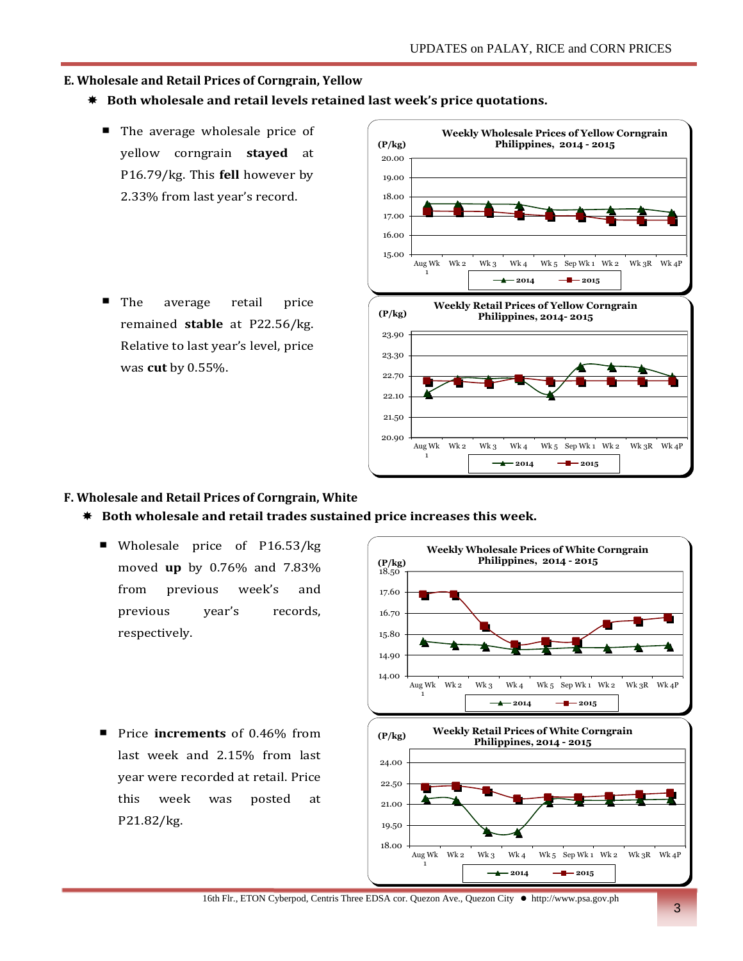## **E. Wholesale and Retail Prices of Corngrain, Yellow**

- **Both wholesale and retail levels retained last week's price quotations.**
	- The average wholesale price of yellow corngrain **stayed** at P16.79/kg. This **fell** however by 2.33% from last year's record.
	- The average retail price ٠ remained **stable** at P22.56/kg. Relative to last year's level, price was **cut** by 0.55%.



### **F. Wholesale and Retail Prices of Corngrain, White**

- **Both wholesale and retail trades sustained price increases this week.** 
	- Wholesale price of P16.53/kg moved **up** by 0.76% and 7.83% from previous week's and previous year's records, respectively.
	- Price **increments** of 0.46% from last week and 2.15% from last year were recorded at retail. Price this week was posted at P21.82/kg.



16th Flr., ETON Cyberpod, Centris Three EDSA cor. Quezon Ave., Quezon City http://www.psa.gov.ph